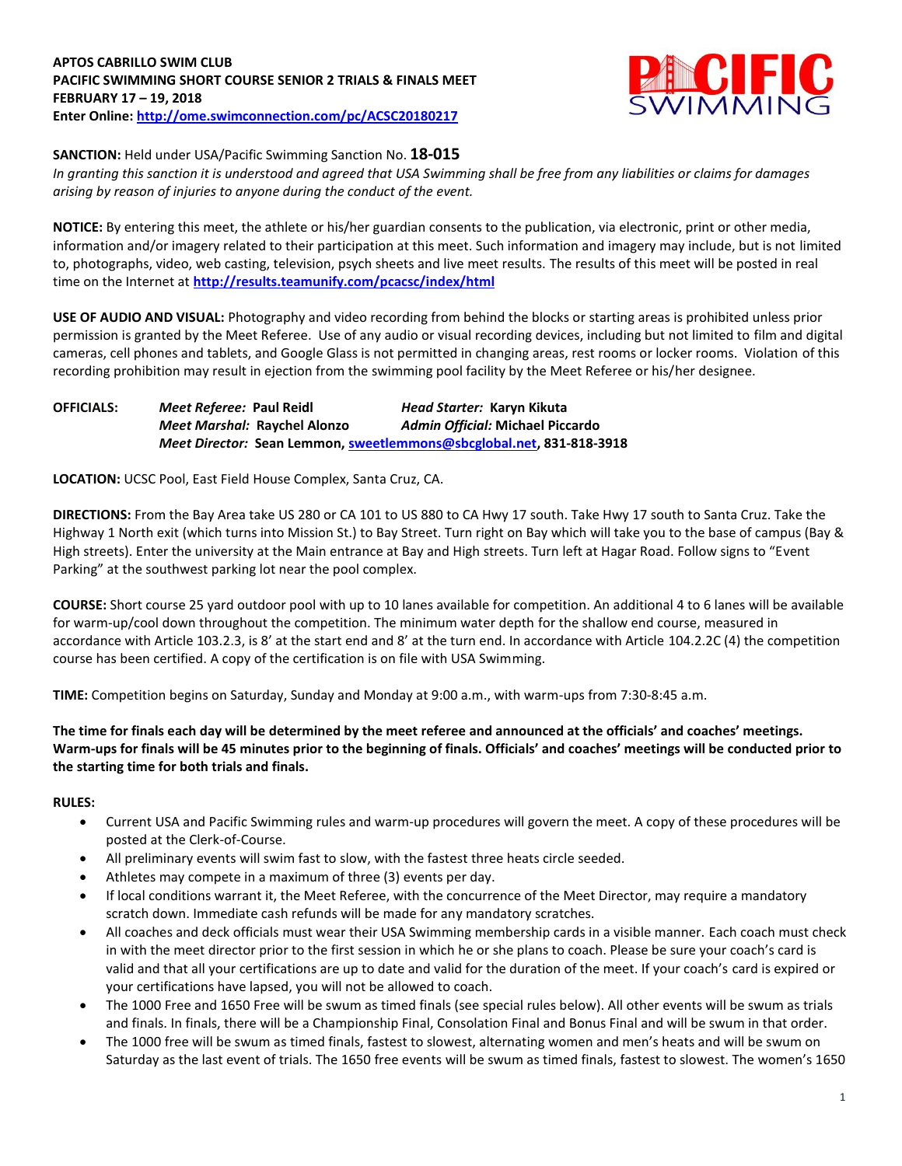# **APTOS CABRILLO SWIM CLUB PACIFIC SWIMMING SHORT COURSE SENIOR 2 TRIALS & FINALS MEET FEBRUARY 17 – 19, 2018 Enter Online: <http://ome.swimconnection.com/pc/ACSC20180217>**



# **SANCTION:** Held under USA/Pacific Swimming Sanction No. **18-015**

*In granting this sanction it is understood and agreed that USA Swimming shall be free from any liabilities or claims for damages arising by reason of injuries to anyone during the conduct of the event.*

**NOTICE:** By entering this meet, the athlete or his/her guardian consents to the publication, via electronic, print or other media, information and/or imagery related to their participation at this meet. Such information and imagery may include, but is not limited to, photographs, video, web casting, television, psych sheets and live meet results. The results of this meet will be posted in real time on the Internet at **<http://results.teamunify.com/pcacsc/index/html>**

**USE OF AUDIO AND VISUAL:** Photography and video recording from behind the blocks or starting areas is prohibited unless prior permission is granted by the Meet Referee. Use of any audio or visual recording devices, including but not limited to film and digital cameras, cell phones and tablets, and Google Glass is not permitted in changing areas, rest rooms or locker rooms. Violation of this recording prohibition may result in ejection from the swimming pool facility by the Meet Referee or his/her designee.

| <b>OFFICIALS:</b> | Meet Referee: Paul Reidl     | Head Starter: Karyn Kikuta                                                  |  |  |  |  |
|-------------------|------------------------------|-----------------------------------------------------------------------------|--|--|--|--|
|                   | Meet Marshal: Raychel Alonzo | Admin Official: Michael Piccardo                                            |  |  |  |  |
|                   |                              | <i>Meet Director:</i> Sean Lemmon, sweetlemmons@sbcglobal.net, 831-818-3918 |  |  |  |  |

**LOCATION:** UCSC Pool, East Field House Complex, Santa Cruz, CA.

**DIRECTIONS:** From the Bay Area take US 280 or CA 101 to US 880 to CA Hwy 17 south. Take Hwy 17 south to Santa Cruz. Take the Highway 1 North exit (which turns into Mission St.) to Bay Street. Turn right on Bay which will take you to the base of campus (Bay & High streets). Enter the university at the Main entrance at Bay and High streets. Turn left at Hagar Road. Follow signs to "Event Parking" at the southwest parking lot near the pool complex.

**COURSE:** Short course 25 yard outdoor pool with up to 10 lanes available for competition. An additional 4 to 6 lanes will be available for warm-up/cool down throughout the competition. The minimum water depth for the shallow end course, measured in accordance with Article 103.2.3, is 8' at the start end and 8' at the turn end. In accordance with Article 104.2.2C (4) the competition course has been certified. A copy of the certification is on file with USA Swimming.

**TIME:** Competition begins on Saturday, Sunday and Monday at 9:00 a.m., with warm-ups from 7:30-8:45 a.m.

**The time for finals each day will be determined by the meet referee and announced at the officials' and coaches' meetings. Warm-ups for finals will be 45 minutes prior to the beginning of finals. Officials' and coaches' meetings will be conducted prior to the starting time for both trials and finals.**

### **RULES:**

- Current USA and Pacific Swimming rules and warm-up procedures will govern the meet. A copy of these procedures will be posted at the Clerk-of-Course.
- All preliminary events will swim fast to slow, with the fastest three heats circle seeded.
- Athletes may compete in a maximum of three (3) events per day.
- If local conditions warrant it, the Meet Referee, with the concurrence of the Meet Director, may require a mandatory scratch down. Immediate cash refunds will be made for any mandatory scratches.
- All coaches and deck officials must wear their USA Swimming membership cards in a visible manner. Each coach must check in with the meet director prior to the first session in which he or she plans to coach. Please be sure your coach's card is valid and that all your certifications are up to date and valid for the duration of the meet. If your coach's card is expired or your certifications have lapsed, you will not be allowed to coach.
- The 1000 Free and 1650 Free will be swum as timed finals (see special rules below). All other events will be swum as trials and finals. In finals, there will be a Championship Final, Consolation Final and Bonus Final and will be swum in that order.
- The 1000 free will be swum as timed finals, fastest to slowest, alternating women and men's heats and will be swum on Saturday as the last event of trials. The 1650 free events will be swum as timed finals, fastest to slowest. The women's 1650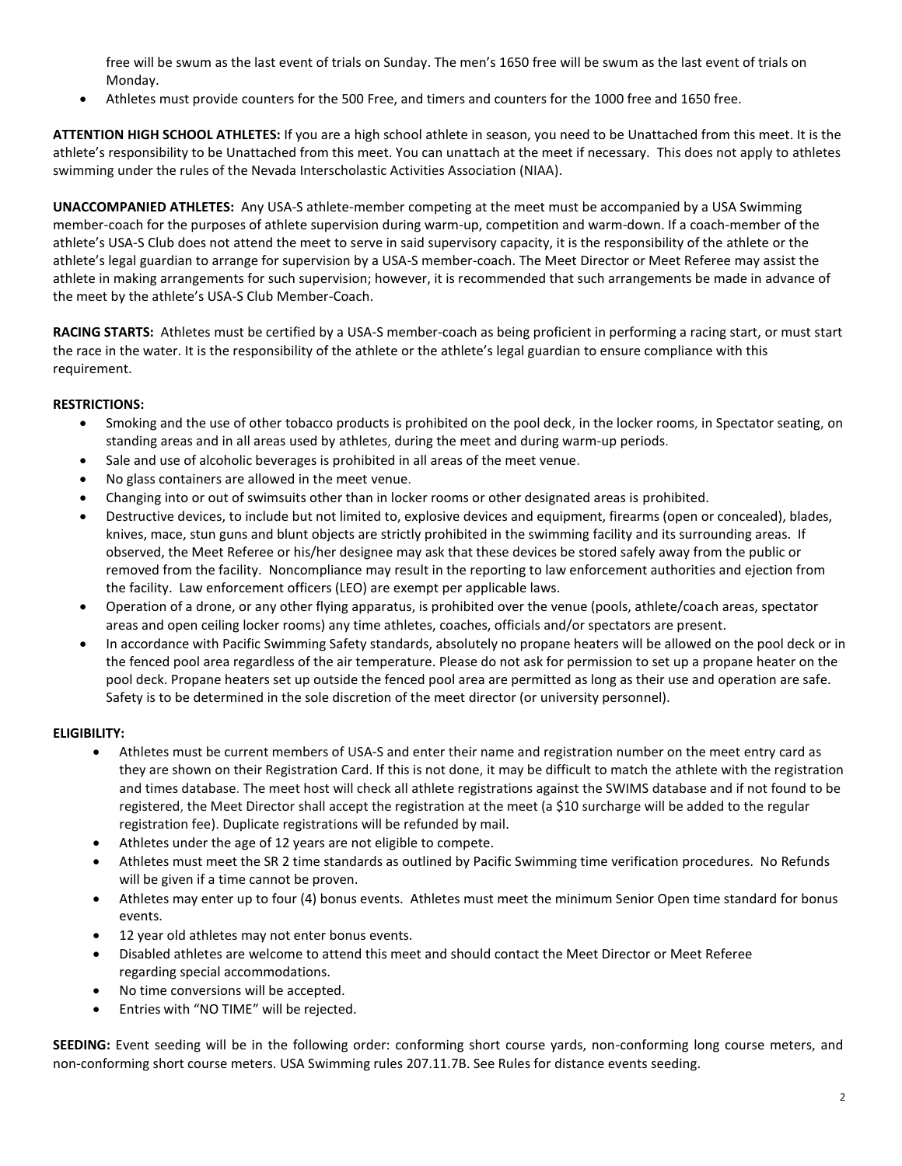free will be swum as the last event of trials on Sunday. The men's 1650 free will be swum as the last event of trials on Monday.

Athletes must provide counters for the 500 Free, and timers and counters for the 1000 free and 1650 free.

**ATTENTION HIGH SCHOOL ATHLETES:** If you are a high school athlete in season, you need to be Unattached from this meet. It is the athlete's responsibility to be Unattached from this meet. You can unattach at the meet if necessary. This does not apply to athletes swimming under the rules of the Nevada Interscholastic Activities Association (NIAA).

**UNACCOMPANIED ATHLETES:** Any USA-S athlete-member competing at the meet must be accompanied by a USA Swimming member-coach for the purposes of athlete supervision during warm-up, competition and warm-down. If a coach-member of the athlete's USA-S Club does not attend the meet to serve in said supervisory capacity, it is the responsibility of the athlete or the athlete's legal guardian to arrange for supervision by a USA-S member-coach. The Meet Director or Meet Referee may assist the athlete in making arrangements for such supervision; however, it is recommended that such arrangements be made in advance of the meet by the athlete's USA-S Club Member-Coach.

**RACING STARTS:** Athletes must be certified by a USA-S member-coach as being proficient in performing a racing start, or must start the race in the water. It is the responsibility of the athlete or the athlete's legal guardian to ensure compliance with this requirement.

# **RESTRICTIONS:**

- Smoking and the use of other tobacco products is prohibited on the pool deck, in the locker rooms, in Spectator seating, on standing areas and in all areas used by athletes, during the meet and during warm-up periods.
- Sale and use of alcoholic beverages is prohibited in all areas of the meet venue.
- No glass containers are allowed in the meet venue.
- Changing into or out of swimsuits other than in locker rooms or other designated areas is prohibited.
- Destructive devices, to include but not limited to, explosive devices and equipment, firearms (open or concealed), blades, knives, mace, stun guns and blunt objects are strictly prohibited in the swimming facility and its surrounding areas. If observed, the Meet Referee or his/her designee may ask that these devices be stored safely away from the public or removed from the facility. Noncompliance may result in the reporting to law enforcement authorities and ejection from the facility. Law enforcement officers (LEO) are exempt per applicable laws.
- Operation of a drone, or any other flying apparatus, is prohibited over the venue (pools, athlete/coach areas, spectator areas and open ceiling locker rooms) any time athletes, coaches, officials and/or spectators are present.
- In accordance with Pacific Swimming Safety standards, absolutely no propane heaters will be allowed on the pool deck or in the fenced pool area regardless of the air temperature. Please do not ask for permission to set up a propane heater on the pool deck. Propane heaters set up outside the fenced pool area are permitted as long as their use and operation are safe. Safety is to be determined in the sole discretion of the meet director (or university personnel).

### **ELIGIBILITY:**

- Athletes must be current members of USA-S and enter their name and registration number on the meet entry card as they are shown on their Registration Card. If this is not done, it may be difficult to match the athlete with the registration and times database. The meet host will check all athlete registrations against the SWIMS database and if not found to be registered, the Meet Director shall accept the registration at the meet (a \$10 surcharge will be added to the regular registration fee). Duplicate registrations will be refunded by mail.
- Athletes under the age of 12 years are not eligible to compete.
- Athletes must meet the SR 2 time standards as outlined by Pacific Swimming time verification procedures. No Refunds will be given if a time cannot be proven.
- Athletes may enter up to four (4) bonus events. Athletes must meet the minimum Senior Open time standard for bonus events.
- 12 year old athletes may not enter bonus events.
- Disabled athletes are welcome to attend this meet and should contact the Meet Director or Meet Referee regarding special accommodations.
- No time conversions will be accepted.
- Entries with "NO TIME" will be rejected.

**SEEDING:** Event seeding will be in the following order: conforming short course yards, non-conforming long course meters, and non-conforming short course meters. USA Swimming rules 207.11.7B. See Rules for distance events seeding.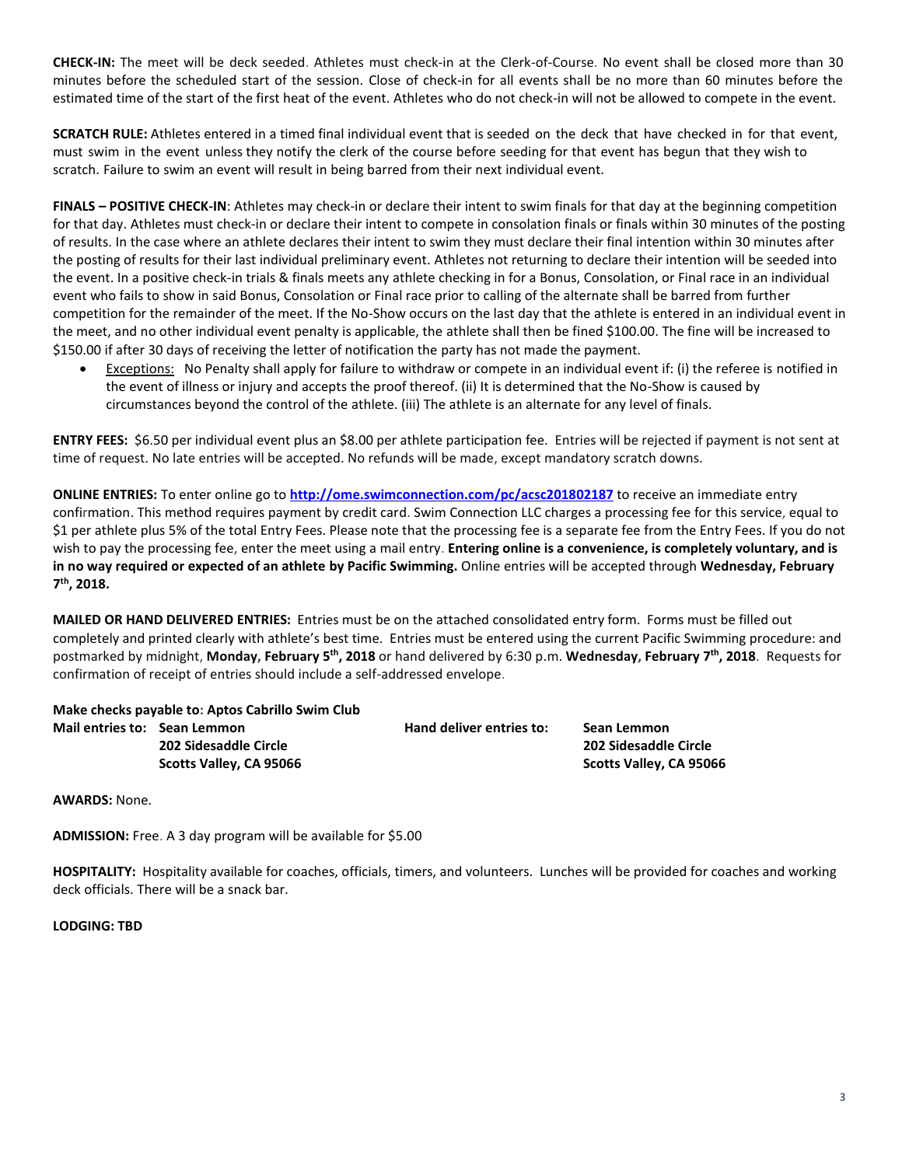**CHECK-IN:** The meet will be deck seeded. Athletes must check-in at the Clerk-of-Course. No event shall be closed more than 30 minutes before the scheduled start of the session. Close of check‐in for all events shall be no more than 60 minutes before the estimated time of the start of the first heat of the event. Athletes who do not check-in will not be allowed to compete in the event.

**SCRATCH RULE:** Athletes entered in a timed final individual event that is seeded on the deck that have checked in for that event, must swim in the event unless they notify the clerk of the course before seeding for that event has begun that they wish to scratch. Failure to swim an event will result in being barred from their next individual event.

**FINALS – POSITIVE CHECK-IN**: Athletes may check-in or declare their intent to swim finals for that day at the beginning competition for that day. Athletes must check-in or declare their intent to compete in consolation finals or finals within 30 minutes of the posting of results. In the case where an athlete declares their intent to swim they must declare their final intention within 30 minutes after the posting of results for their last individual preliminary event. Athletes not returning to declare their intention will be seeded into the event. In a positive check-in trials & finals meets any athlete checking in for a Bonus, Consolation, or Final race in an individual event who fails to show in said Bonus, Consolation or Final race prior to calling of the alternate shall be barred from further competition for the remainder of the meet. If the No-Show occurs on the last day that the athlete is entered in an individual event in the meet, and no other individual event penalty is applicable, the athlete shall then be fined \$100.00. The fine will be increased to \$150.00 if after 30 days of receiving the letter of notification the party has not made the payment.

 Exceptions: No Penalty shall apply for failure to withdraw or compete in an individual event if: (i) the referee is notified in the event of illness or injury and accepts the proof thereof. (ii) It is determined that the No-Show is caused by circumstances beyond the control of the athlete. (iii) The athlete is an alternate for any level of finals.

**ENTRY FEES:** \$6.50 per individual event plus an \$8.00 per athlete participation fee. Entries will be rejected if payment is not sent at time of request. No late entries will be accepted. No refunds will be made, except mandatory scratch downs.

**ONLINE ENTRIES:** To enter online go to **<http://ome.swimconnection.com/pc/acsc201802187>** to receive an immediate entry confirmation. This method requires payment by credit card. Swim Connection LLC charges a processing fee for this service, equal to \$1 per athlete plus 5% of the total Entry Fees. Please note that the processing fee is a separate fee from the Entry Fees. If you do not wish to pay the processing fee, enter the meet using a mail entry. **Entering online is a convenience, is completely voluntary, and is in no way required or expected of an athlete by Pacific Swimming.** Online entries will be accepted through **Wednesday, February 7 th, 2018.**

**MAILED OR HAND DELIVERED ENTRIES:** Entries must be on the attached consolidated entry form. Forms must be filled out completely and printed clearly with athlete's best time. Entries must be entered using the current Pacific Swimming procedure: and postmarked by midnight, Monday, February 5<sup>th</sup>, 2018 or hand delivered by 6:30 p.m. Wednesday, February 7<sup>th</sup>, 2018. Requests for confirmation of receipt of entries should include a self-addressed envelope.

|  |  | Make checks payable to: Aptos Cabrillo Swim Club |  |
|--|--|--------------------------------------------------|--|
|--|--|--------------------------------------------------|--|

**Mail entries to: Sean Lemmon Hand deliver entries to: Sean Lemmon 202 Sidesaddle Circle 202 Sidesaddle Circle Scotts Valley, CA 95066 Scotts Valley, CA 95066**

**AWARDS:** None.

**ADMISSION:** Free. A 3 day program will be available for \$5.00

**HOSPITALITY:** Hospitality available for coaches, officials, timers, and volunteers. Lunches will be provided for coaches and working deck officials. There will be a snack bar.

**LODGING: TBD**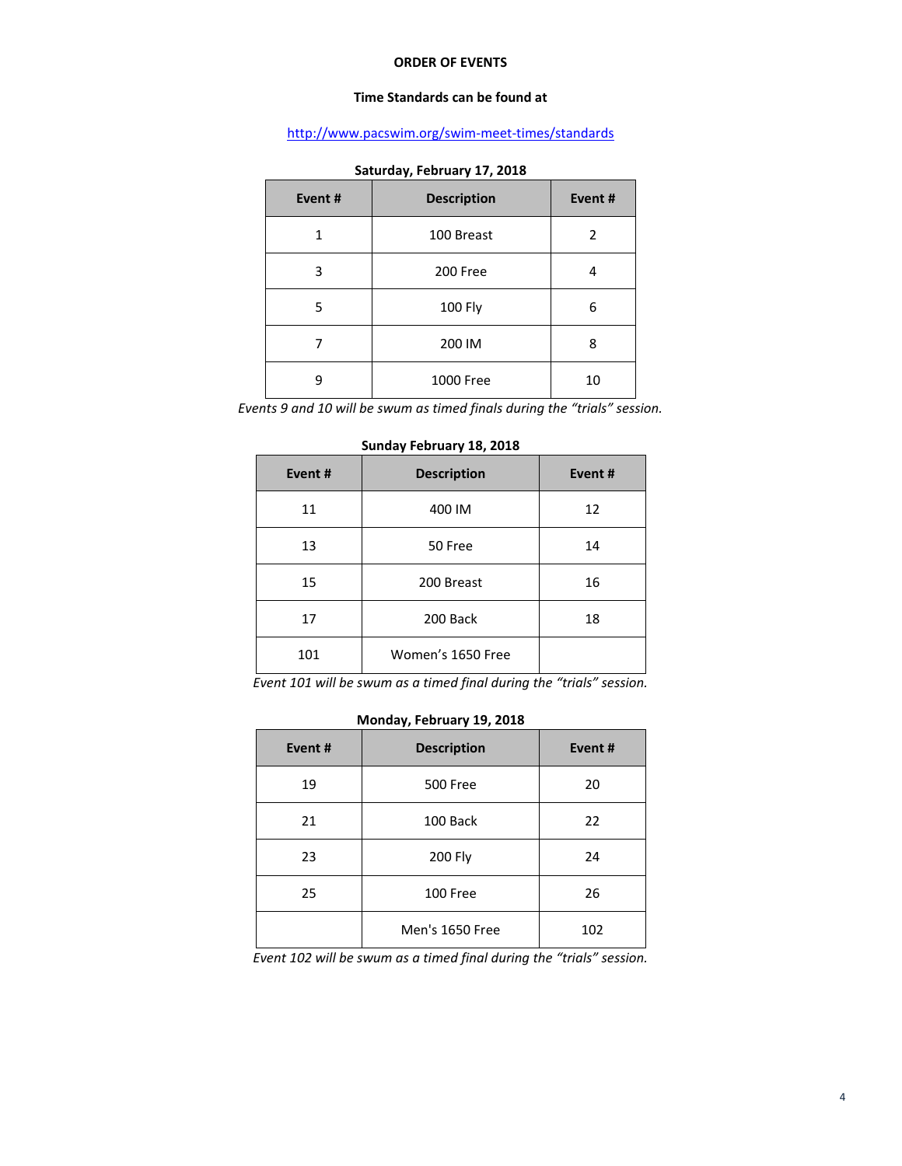#### **ORDER OF EVENTS**

### **Time Standards can be found at**

# <http://www.pacswim.org/swim-meet-times/standards>

| Event# | <b>Description</b> | Event# |
|--------|--------------------|--------|
|        | 100 Breast         | 2      |
| 3      | 200 Free           |        |
| 5      | <b>100 Fly</b>     | 6      |
|        | 200 IM             | 8      |
| q      | 1000 Free          | 10     |

#### **Saturday, February 17, 2018**

*Events 9 and 10 will be swum as timed finals during the "trials" session.*

| Event # | <b>Description</b> | Event# |  |  |
|---------|--------------------|--------|--|--|
| 11      | 400 IM             | 12     |  |  |
| 13      | 50 Free            | 14     |  |  |
| 15      | 200 Breast         | 16     |  |  |
| 17      | 200 Back           | 18     |  |  |
| 101     | Women's 1650 Free  |        |  |  |

#### **Sunday February 18, 2018**

*Event 101 will be swum as a timed final during the "trials" session.*

| $10101100$ $y$ , $1001001$ $y$ $10$ , $2010$ |                    |        |  |  |  |  |  |  |
|----------------------------------------------|--------------------|--------|--|--|--|--|--|--|
| Event#                                       | <b>Description</b> | Event# |  |  |  |  |  |  |
| 19                                           | <b>500 Free</b>    | 20     |  |  |  |  |  |  |
| 21                                           | 100 Back           | 22     |  |  |  |  |  |  |
| 23                                           | 200 Fly            | 24     |  |  |  |  |  |  |
| 25                                           | 100 Free           | 26     |  |  |  |  |  |  |
|                                              | Men's 1650 Free    | 102    |  |  |  |  |  |  |

# **Monday, February 19, 2018**

*Event 102 will be swum as a timed final during the "trials" session.*